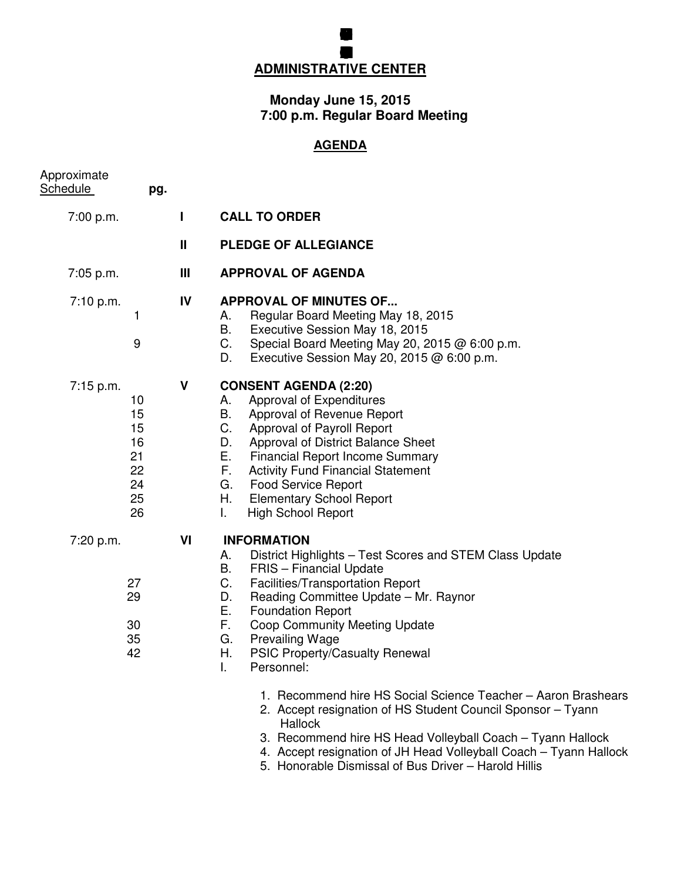## **BOARD FEUCATION MEG ADMINISTRATIVE CENTER**

**GRENFILD COMUNITY SCHOL**

## **Monday June 15, 2015 7:00 p.m. Regular Board Meeting**

## **AGENDA**

| Approximate<br>Schedule | pg.                                                |    |                                                                                                                                                                                                                                                                                                                                                                                                                                                                                                                                                                                                                                                                                       |
|-------------------------|----------------------------------------------------|----|---------------------------------------------------------------------------------------------------------------------------------------------------------------------------------------------------------------------------------------------------------------------------------------------------------------------------------------------------------------------------------------------------------------------------------------------------------------------------------------------------------------------------------------------------------------------------------------------------------------------------------------------------------------------------------------|
| 7:00 p.m.               |                                                    | L  | <b>CALL TO ORDER</b>                                                                                                                                                                                                                                                                                                                                                                                                                                                                                                                                                                                                                                                                  |
|                         |                                                    | Ш  | <b>PLEDGE OF ALLEGIANCE</b>                                                                                                                                                                                                                                                                                                                                                                                                                                                                                                                                                                                                                                                           |
| 7:05 p.m.               |                                                    | Ш  | <b>APPROVAL OF AGENDA</b>                                                                                                                                                                                                                                                                                                                                                                                                                                                                                                                                                                                                                                                             |
| 7:10 p.m.               | 1<br>9                                             | IV | <b>APPROVAL OF MINUTES OF</b><br>Regular Board Meeting May 18, 2015<br>А.<br>Executive Session May 18, 2015<br>В.<br>C.<br>Special Board Meeting May 20, 2015 @ 6:00 p.m.<br>Executive Session May 20, 2015 $@$ 6:00 p.m.<br>D.                                                                                                                                                                                                                                                                                                                                                                                                                                                       |
| $7:15$ p.m.             | 10<br>15<br>15<br>16<br>21<br>22<br>24<br>25<br>26 | ٧  | <b>CONSENT AGENDA (2:20)</b><br>Approval of Expenditures<br>А.<br>В.<br>Approval of Revenue Report<br>C.<br>Approval of Payroll Report<br>Approval of District Balance Sheet<br>D.<br>Е.<br><b>Financial Report Income Summary</b><br>F.<br><b>Activity Fund Financial Statement</b><br>G.<br><b>Food Service Report</b><br>Η.<br><b>Elementary School Report</b><br><b>High School Report</b><br>L.                                                                                                                                                                                                                                                                                  |
| 7:20 p.m.               | 27<br>29<br>30<br>35<br>42                         | VI | <b>INFORMATION</b><br>А.<br>District Highlights - Test Scores and STEM Class Update<br><b>FRIS</b> - Financial Update<br>В.<br>C.<br>Facilities/Transportation Report<br>Reading Committee Update - Mr. Raynor<br>D.<br>Е.<br><b>Foundation Report</b><br>F.<br><b>Coop Community Meeting Update</b><br><b>Prevailing Wage</b><br>G.<br>Η.<br>PSIC Property/Casualty Renewal<br>T.<br>Personnel:<br>1. Recommend hire HS Social Science Teacher - Aaron Brashears<br>2. Accept resignation of HS Student Council Sponsor - Tyann<br><b>Hallock</b><br>3. Recommend hire HS Head Volleyball Coach - Tyann Hallock<br>4. Accept resignation of JH Head Volleyball Coach - Tyann Hallock |

5. Honorable Dismissal of Bus Driver – Harold Hillis